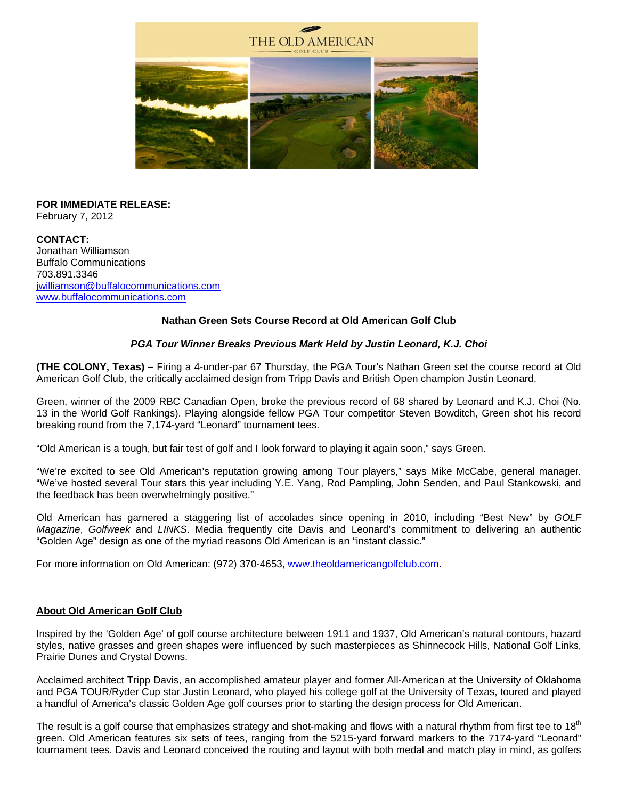

#### **FOR IMMEDIATE RELEASE:** February 7, 2012

**CONTACT:** Jonathan Williamson **Buffalo Communications** 703.891.3346 jwilliamson@buffalocommunications.com www.buffalocommunications.com

## Nathan Green Sets Course Record at Old American Golf Club

## PGA Tour Winner Breaks Previous Mark Held by Justin Leonard, K.J. Choi

(THE COLONY, Texas) - Firing a 4-under-par 67 Thursday, the PGA Tour's Nathan Green set the course record at Old American Golf Club, the critically acclaimed design from Tripp Davis and British Open champion Justin Leonard.

Green, winner of the 2009 RBC Canadian Open, broke the previous record of 68 shared by Leonard and K.J. Choi (No. 13 in the World Golf Rankings). Playing alongside fellow PGA Tour competitor Steven Bowditch, Green shot his record breaking round from the 7,174-yard "Leonard" tournament tees.

"Old American is a tough, but fair test of golf and I look forward to playing it again soon," says Green.

"We're excited to see Old American's reputation growing among Tour players," says Mike McCabe, general manager. "We've hosted several Tour stars this year including Y.E. Yang, Rod Pampling, John Senden, and Paul Stankowski, and the feedback has been overwhelmingly positive."

Old American has garnered a staggering list of accolades since opening in 2010, including "Best New" by GOLF Magazine, Golfweek and LINKS. Media frequently cite Davis and Leonard's commitment to delivering an authentic "Golden Age" design as one of the myriad reasons Old American is an "instant classic."

For more information on Old American: (972) 370-4653, www.theoldamericangolfclub.com.

#### **About Old American Golf Club**

Inspired by the 'Golden Age' of golf course architecture between 1911 and 1937, Old American's natural contours, hazard styles, native grasses and green shapes were influenced by such masterpieces as Shinnecock Hills, National Golf Links, Prairie Dunes and Crystal Downs.

Acclaimed architect Tripp Davis, an accomplished amateur player and former All-American at the University of Oklahoma and PGA TOUR/Ryder Cup star Justin Leonard, who played his college golf at the University of Texas, toured and played a handful of America's classic Golden Age golf courses prior to starting the design process for Old American.

The result is a golf course that emphasizes strategy and shot-making and flows with a natural rhythm from first tee to 18<sup>th</sup> green. Old American features six sets of tees, ranging from the 5215-yard forward markers to the 7174-yard "Leonard" tournament tees. Davis and Leonard conceived the routing and layout with both medal and match play in mind, as golfers